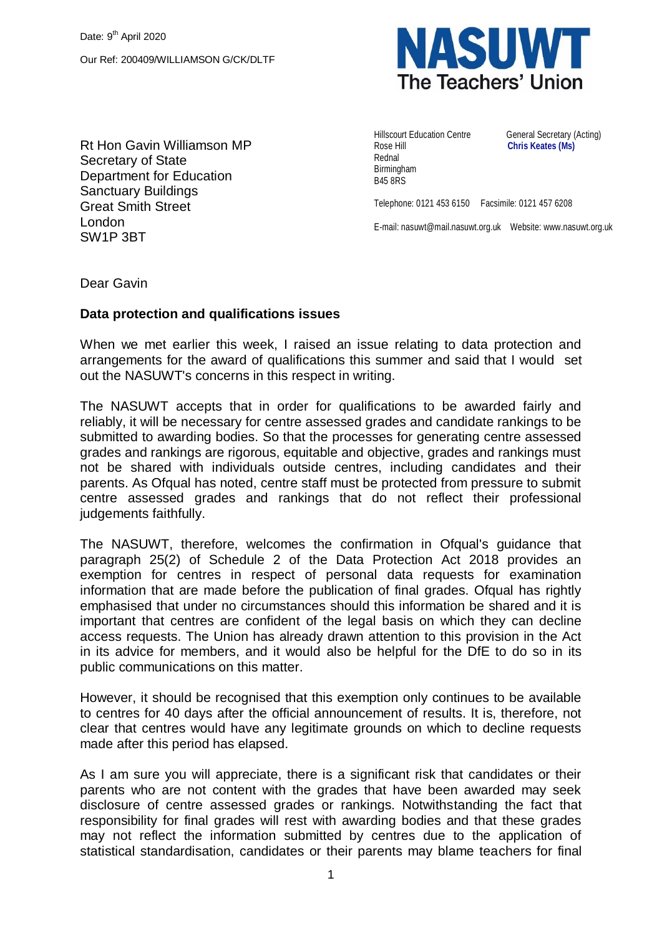

Rt Hon Gavin Williamson MP Secretary of State Department for Education Sanctuary Buildings Great Smith Street London SW1P 3BT

Hillscourt Education Centre **General Secretary (Acting)** Rose Hill **Chris Keates (Ms)** Rednal Birmingham B45 8RS

Telephone: 0121 453 6150 Facsimile: 0121 457 6208

E-mail: nasuwt@mail.nasuwt.org.uk Website: www.nasuwt.org.uk

Dear Gavin

## **Data protection and qualifications issues**

When we met earlier this week, I raised an issue relating to data protection and arrangements for the award of qualifications this summer and said that I would set out the NASUWT's concerns in this respect in writing.

The NASUWT accepts that in order for qualifications to be awarded fairly and reliably, it will be necessary for centre assessed grades and candidate rankings to be submitted to awarding bodies. So that the processes for generating centre assessed grades and rankings are rigorous, equitable and objective, grades and rankings must not be shared with individuals outside centres, including candidates and their parents. As Ofqual has noted, centre staff must be protected from pressure to submit centre assessed grades and rankings that do not reflect their professional judgements faithfully.

The NASUWT, therefore, welcomes the confirmation in Ofqual's guidance that paragraph 25(2) of Schedule 2 of the Data Protection Act 2018 provides an exemption for centres in respect of personal data requests for examination information that are made before the publication of final grades. Ofqual has rightly emphasised that under no circumstances should this information be shared and it is important that centres are confident of the legal basis on which they can decline access requests. The Union has already drawn attention to this provision in the Act in its advice for members, and it would also be helpful for the DfE to do so in its public communications on this matter.

However, it should be recognised that this exemption only continues to be available to centres for 40 days after the official announcement of results. It is, therefore, not clear that centres would have any legitimate grounds on which to decline requests made after this period has elapsed.

As I am sure you will appreciate, there is a significant risk that candidates or their parents who are not content with the grades that have been awarded may seek disclosure of centre assessed grades or rankings. Notwithstanding the fact that responsibility for final grades will rest with awarding bodies and that these grades may not reflect the information submitted by centres due to the application of statistical standardisation, candidates or their parents may blame teachers for final